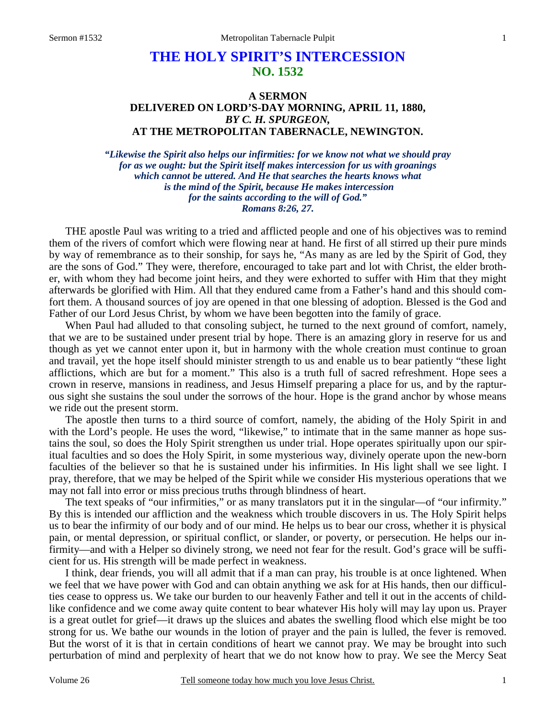## **THE HOLY SPIRIT'S INTERCESSION NO. 1532**

## **A SERMON DELIVERED ON LORD'S-DAY MORNING, APRIL 11, 1880,**  *BY C. H. SPURGEON,*  **AT THE METROPOLITAN TABERNACLE, NEWINGTON.**

*"Likewise the Spirit also helps our infirmities: for we know not what we should pray for as we ought: but the Spirit itself makes intercession for us with groanings which cannot be uttered. And He that searches the hearts knows what is the mind of the Spirit, because He makes intercession for the saints according to the will of God." Romans 8:26, 27.* 

THE apostle Paul was writing to a tried and afflicted people and one of his objectives was to remind them of the rivers of comfort which were flowing near at hand. He first of all stirred up their pure minds by way of remembrance as to their sonship, for says he, "As many as are led by the Spirit of God, they are the sons of God." They were, therefore, encouraged to take part and lot with Christ, the elder brother, with whom they had become joint heirs, and they were exhorted to suffer with Him that they might afterwards be glorified with Him. All that they endured came from a Father's hand and this should comfort them. A thousand sources of joy are opened in that one blessing of adoption. Blessed is the God and Father of our Lord Jesus Christ, by whom we have been begotten into the family of grace.

 When Paul had alluded to that consoling subject, he turned to the next ground of comfort, namely, that we are to be sustained under present trial by hope. There is an amazing glory in reserve for us and though as yet we cannot enter upon it, but in harmony with the whole creation must continue to groan and travail, yet the hope itself should minister strength to us and enable us to bear patiently "these light afflictions, which are but for a moment." This also is a truth full of sacred refreshment. Hope sees a crown in reserve, mansions in readiness, and Jesus Himself preparing a place for us, and by the rapturous sight she sustains the soul under the sorrows of the hour. Hope is the grand anchor by whose means we ride out the present storm.

 The apostle then turns to a third source of comfort, namely, the abiding of the Holy Spirit in and with the Lord's people. He uses the word, "likewise," to intimate that in the same manner as hope sustains the soul, so does the Holy Spirit strengthen us under trial. Hope operates spiritually upon our spiritual faculties and so does the Holy Spirit, in some mysterious way, divinely operate upon the new-born faculties of the believer so that he is sustained under his infirmities. In His light shall we see light. I pray, therefore, that we may be helped of the Spirit while we consider His mysterious operations that we may not fall into error or miss precious truths through blindness of heart.

 The text speaks of "our infirmities," or as many translators put it in the singular—of "our infirmity." By this is intended our affliction and the weakness which trouble discovers in us. The Holy Spirit helps us to bear the infirmity of our body and of our mind. He helps us to bear our cross, whether it is physical pain, or mental depression, or spiritual conflict, or slander, or poverty, or persecution. He helps our infirmity—and with a Helper so divinely strong, we need not fear for the result. God's grace will be sufficient for us. His strength will be made perfect in weakness.

 I think, dear friends, you will all admit that if a man can pray, his trouble is at once lightened. When we feel that we have power with God and can obtain anything we ask for at His hands, then our difficulties cease to oppress us. We take our burden to our heavenly Father and tell it out in the accents of childlike confidence and we come away quite content to bear whatever His holy will may lay upon us. Prayer is a great outlet for grief—it draws up the sluices and abates the swelling flood which else might be too strong for us. We bathe our wounds in the lotion of prayer and the pain is lulled, the fever is removed. But the worst of it is that in certain conditions of heart we cannot pray. We may be brought into such perturbation of mind and perplexity of heart that we do not know how to pray. We see the Mercy Seat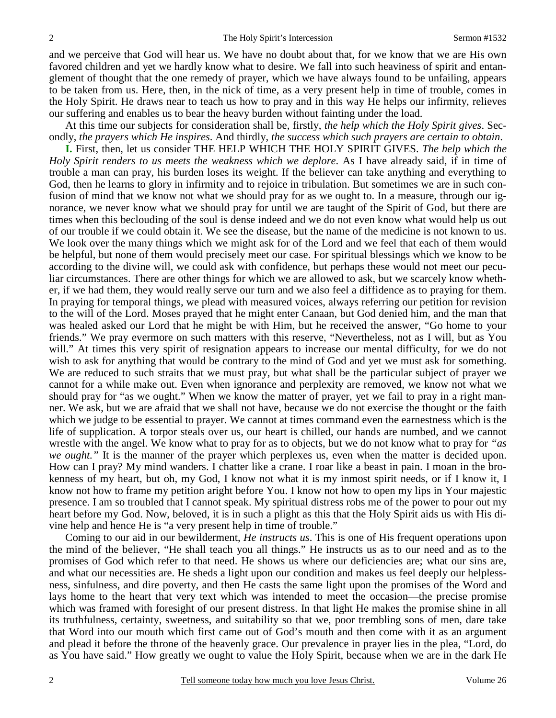and we perceive that God will hear us. We have no doubt about that, for we know that we are His own favored children and yet we hardly know what to desire. We fall into such heaviness of spirit and entanglement of thought that the one remedy of prayer, which we have always found to be unfailing, appears to be taken from us. Here, then, in the nick of time, as a very present help in time of trouble, comes in the Holy Spirit. He draws near to teach us how to pray and in this way He helps our infirmity, relieves our suffering and enables us to bear the heavy burden without fainting under the load.

 At this time our subjects for consideration shall be, firstly, *the help which the Holy Spirit gives*. Secondly, *the prayers which He inspires*. And thirdly, *the success which such prayers are certain to obtain*.

**I.** First, then, let us consider THE HELP WHICH THE HOLY SPIRIT GIVES. *The help which the Holy Spirit renders to us meets the weakness which we deplore*. As I have already said, if in time of trouble a man can pray, his burden loses its weight. If the believer can take anything and everything to God, then he learns to glory in infirmity and to rejoice in tribulation. But sometimes we are in such confusion of mind that we know not what we should pray for as we ought to. In a measure, through our ignorance, we never know what we should pray for until we are taught of the Spirit of God, but there are times when this beclouding of the soul is dense indeed and we do not even know what would help us out of our trouble if we could obtain it. We see the disease, but the name of the medicine is not known to us. We look over the many things which we might ask for of the Lord and we feel that each of them would be helpful, but none of them would precisely meet our case. For spiritual blessings which we know to be according to the divine will, we could ask with confidence, but perhaps these would not meet our peculiar circumstances. There are other things for which we are allowed to ask, but we scarcely know whether, if we had them, they would really serve our turn and we also feel a diffidence as to praying for them. In praying for temporal things, we plead with measured voices, always referring our petition for revision to the will of the Lord. Moses prayed that he might enter Canaan, but God denied him, and the man that was healed asked our Lord that he might be with Him, but he received the answer, "Go home to your friends." We pray evermore on such matters with this reserve, "Nevertheless, not as I will, but as You will." At times this very spirit of resignation appears to increase our mental difficulty, for we do not wish to ask for anything that would be contrary to the mind of God and yet we must ask for something. We are reduced to such straits that we must pray, but what shall be the particular subject of prayer we cannot for a while make out. Even when ignorance and perplexity are removed, we know not what we should pray for "as we ought." When we know the matter of prayer, yet we fail to pray in a right manner. We ask, but we are afraid that we shall not have, because we do not exercise the thought or the faith which we judge to be essential to prayer. We cannot at times command even the earnestness which is the life of supplication. A torpor steals over us, our heart is chilled, our hands are numbed, and we cannot wrestle with the angel. We know what to pray for as to objects, but we do not know what to pray for *"as we ought."* It is the manner of the prayer which perplexes us, even when the matter is decided upon. How can I pray? My mind wanders. I chatter like a crane. I roar like a beast in pain. I moan in the brokenness of my heart, but oh, my God, I know not what it is my inmost spirit needs, or if I know it, I know not how to frame my petition aright before You. I know not how to open my lips in Your majestic presence. I am so troubled that I cannot speak. My spiritual distress robs me of the power to pour out my heart before my God. Now, beloved, it is in such a plight as this that the Holy Spirit aids us with His divine help and hence He is "a very present help in time of trouble."

 Coming to our aid in our bewilderment, *He instructs us*. This is one of His frequent operations upon the mind of the believer, "He shall teach you all things." He instructs us as to our need and as to the promises of God which refer to that need. He shows us where our deficiencies are; what our sins are, and what our necessities are. He sheds a light upon our condition and makes us feel deeply our helplessness, sinfulness, and dire poverty, and then He casts the same light upon the promises of the Word and lays home to the heart that very text which was intended to meet the occasion—the precise promise which was framed with foresight of our present distress. In that light He makes the promise shine in all its truthfulness, certainty, sweetness, and suitability so that we, poor trembling sons of men, dare take that Word into our mouth which first came out of God's mouth and then come with it as an argument and plead it before the throne of the heavenly grace. Our prevalence in prayer lies in the plea, "Lord, do as You have said." How greatly we ought to value the Holy Spirit, because when we are in the dark He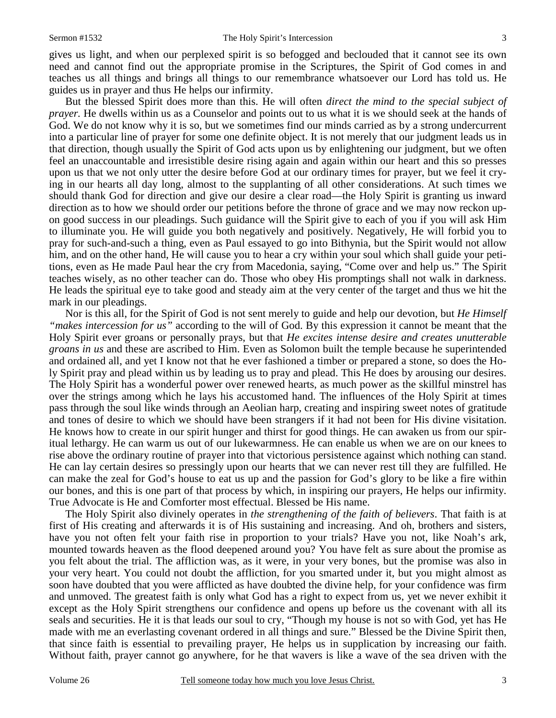gives us light, and when our perplexed spirit is so befogged and beclouded that it cannot see its own need and cannot find out the appropriate promise in the Scriptures, the Spirit of God comes in and teaches us all things and brings all things to our remembrance whatsoever our Lord has told us. He guides us in prayer and thus He helps our infirmity.

 But the blessed Spirit does more than this. He will often *direct the mind to the special subject of prayer.* He dwells within us as a Counselor and points out to us what it is we should seek at the hands of God. We do not know why it is so, but we sometimes find our minds carried as by a strong undercurrent into a particular line of prayer for some one definite object. It is not merely that our judgment leads us in that direction, though usually the Spirit of God acts upon us by enlightening our judgment, but we often feel an unaccountable and irresistible desire rising again and again within our heart and this so presses upon us that we not only utter the desire before God at our ordinary times for prayer, but we feel it crying in our hearts all day long, almost to the supplanting of all other considerations. At such times we should thank God for direction and give our desire a clear road—the Holy Spirit is granting us inward direction as to how we should order our petitions before the throne of grace and we may now reckon upon good success in our pleadings. Such guidance will the Spirit give to each of you if you will ask Him to illuminate you. He will guide you both negatively and positively. Negatively, He will forbid you to pray for such-and-such a thing, even as Paul essayed to go into Bithynia, but the Spirit would not allow him, and on the other hand, He will cause you to hear a cry within your soul which shall guide your petitions, even as He made Paul hear the cry from Macedonia, saying, "Come over and help us." The Spirit teaches wisely, as no other teacher can do. Those who obey His promptings shall not walk in darkness. He leads the spiritual eye to take good and steady aim at the very center of the target and thus we hit the mark in our pleadings.

 Nor is this all, for the Spirit of God is not sent merely to guide and help our devotion, but *He Himself "makes intercession for us"* according to the will of God. By this expression it cannot be meant that the Holy Spirit ever groans or personally prays, but that *He excites intense desire and creates unutterable groans in us* and these are ascribed to Him. Even as Solomon built the temple because he superintended and ordained all, and yet I know not that he ever fashioned a timber or prepared a stone, so does the Holy Spirit pray and plead within us by leading us to pray and plead. This He does by arousing our desires. The Holy Spirit has a wonderful power over renewed hearts, as much power as the skillful minstrel has over the strings among which he lays his accustomed hand. The influences of the Holy Spirit at times pass through the soul like winds through an Aeolian harp, creating and inspiring sweet notes of gratitude and tones of desire to which we should have been strangers if it had not been for His divine visitation. He knows how to create in our spirit hunger and thirst for good things. He can awaken us from our spiritual lethargy. He can warm us out of our lukewarmness. He can enable us when we are on our knees to rise above the ordinary routine of prayer into that victorious persistence against which nothing can stand. He can lay certain desires so pressingly upon our hearts that we can never rest till they are fulfilled. He can make the zeal for God's house to eat us up and the passion for God's glory to be like a fire within our bones, and this is one part of that process by which, in inspiring our prayers, He helps our infirmity. True Advocate is He and Comforter most effectual. Blessed be His name.

 The Holy Spirit also divinely operates in *the strengthening of the faith of believers*. That faith is at first of His creating and afterwards it is of His sustaining and increasing. And oh, brothers and sisters, have you not often felt your faith rise in proportion to your trials? Have you not, like Noah's ark, mounted towards heaven as the flood deepened around you? You have felt as sure about the promise as you felt about the trial. The affliction was, as it were, in your very bones, but the promise was also in your very heart. You could not doubt the affliction, for you smarted under it, but you might almost as soon have doubted that you were afflicted as have doubted the divine help, for your confidence was firm and unmoved. The greatest faith is only what God has a right to expect from us, yet we never exhibit it except as the Holy Spirit strengthens our confidence and opens up before us the covenant with all its seals and securities. He it is that leads our soul to cry, "Though my house is not so with God, yet has He made with me an everlasting covenant ordered in all things and sure." Blessed be the Divine Spirit then, that since faith is essential to prevailing prayer, He helps us in supplication by increasing our faith. Without faith, prayer cannot go anywhere, for he that wavers is like a wave of the sea driven with the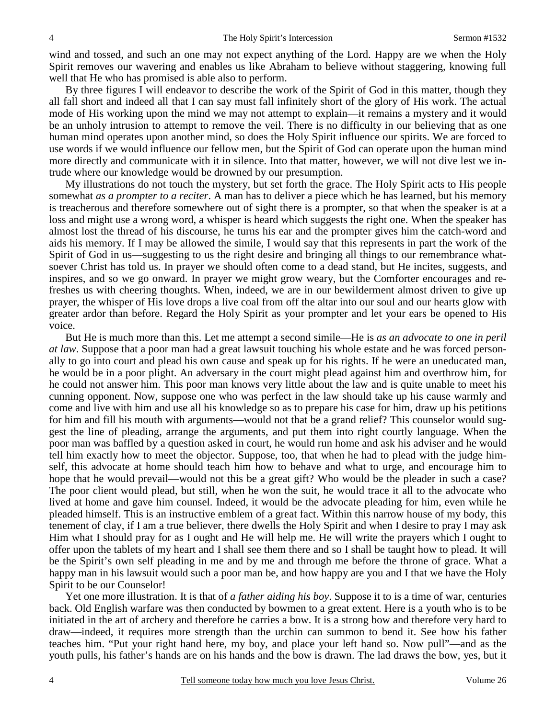wind and tossed, and such an one may not expect anything of the Lord. Happy are we when the Holy Spirit removes our wavering and enables us like Abraham to believe without staggering, knowing full well that He who has promised is able also to perform.

 By three figures I will endeavor to describe the work of the Spirit of God in this matter, though they all fall short and indeed all that I can say must fall infinitely short of the glory of His work. The actual mode of His working upon the mind we may not attempt to explain—it remains a mystery and it would be an unholy intrusion to attempt to remove the veil. There is no difficulty in our believing that as one human mind operates upon another mind, so does the Holy Spirit influence our spirits. We are forced to use words if we would influence our fellow men, but the Spirit of God can operate upon the human mind more directly and communicate with it in silence. Into that matter, however, we will not dive lest we intrude where our knowledge would be drowned by our presumption.

 My illustrations do not touch the mystery, but set forth the grace. The Holy Spirit acts to His people somewhat *as a prompter to a reciter*. A man has to deliver a piece which he has learned, but his memory is treacherous and therefore somewhere out of sight there is a prompter, so that when the speaker is at a loss and might use a wrong word, a whisper is heard which suggests the right one. When the speaker has almost lost the thread of his discourse, he turns his ear and the prompter gives him the catch-word and aids his memory. If I may be allowed the simile, I would say that this represents in part the work of the Spirit of God in us—suggesting to us the right desire and bringing all things to our remembrance whatsoever Christ has told us. In prayer we should often come to a dead stand, but He incites, suggests, and inspires, and so we go onward. In prayer we might grow weary, but the Comforter encourages and refreshes us with cheering thoughts. When, indeed, we are in our bewilderment almost driven to give up prayer, the whisper of His love drops a live coal from off the altar into our soul and our hearts glow with greater ardor than before. Regard the Holy Spirit as your prompter and let your ears be opened to His voice.

 But He is much more than this. Let me attempt a second simile—He is *as an advocate to one in peril at law*. Suppose that a poor man had a great lawsuit touching his whole estate and he was forced personally to go into court and plead his own cause and speak up for his rights. If he were an uneducated man, he would be in a poor plight. An adversary in the court might plead against him and overthrow him, for he could not answer him. This poor man knows very little about the law and is quite unable to meet his cunning opponent. Now, suppose one who was perfect in the law should take up his cause warmly and come and live with him and use all his knowledge so as to prepare his case for him, draw up his petitions for him and fill his mouth with arguments—would not that be a grand relief? This counselor would suggest the line of pleading, arrange the arguments, and put them into right courtly language. When the poor man was baffled by a question asked in court, he would run home and ask his adviser and he would tell him exactly how to meet the objector. Suppose, too, that when he had to plead with the judge himself, this advocate at home should teach him how to behave and what to urge, and encourage him to hope that he would prevail—would not this be a great gift? Who would be the pleader in such a case? The poor client would plead, but still, when he won the suit, he would trace it all to the advocate who lived at home and gave him counsel. Indeed, it would be the advocate pleading for him, even while he pleaded himself. This is an instructive emblem of a great fact. Within this narrow house of my body, this tenement of clay, if I am a true believer, there dwells the Holy Spirit and when I desire to pray I may ask Him what I should pray for as I ought and He will help me. He will write the prayers which I ought to offer upon the tablets of my heart and I shall see them there and so I shall be taught how to plead. It will be the Spirit's own self pleading in me and by me and through me before the throne of grace. What a happy man in his lawsuit would such a poor man be, and how happy are you and I that we have the Holy Spirit to be our Counselor!

 Yet one more illustration. It is that of *a father aiding his boy*. Suppose it to is a time of war, centuries back. Old English warfare was then conducted by bowmen to a great extent. Here is a youth who is to be initiated in the art of archery and therefore he carries a bow. It is a strong bow and therefore very hard to draw—indeed, it requires more strength than the urchin can summon to bend it. See how his father teaches him. "Put your right hand here, my boy, and place your left hand so. Now pull"—and as the youth pulls, his father's hands are on his hands and the bow is drawn. The lad draws the bow, yes, but it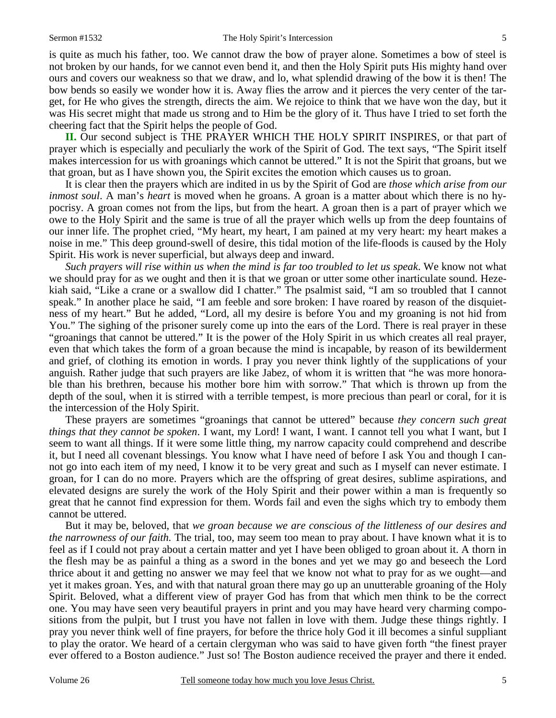is quite as much his father, too. We cannot draw the bow of prayer alone. Sometimes a bow of steel is not broken by our hands, for we cannot even bend it, and then the Holy Spirit puts His mighty hand over ours and covers our weakness so that we draw, and lo, what splendid drawing of the bow it is then! The bow bends so easily we wonder how it is. Away flies the arrow and it pierces the very center of the target, for He who gives the strength, directs the aim. We rejoice to think that we have won the day, but it was His secret might that made us strong and to Him be the glory of it. Thus have I tried to set forth the cheering fact that the Spirit helps the people of God.

**II.** Our second subject is THE PRAYER WHICH THE HOLY SPIRIT INSPIRES, or that part of prayer which is especially and peculiarly the work of the Spirit of God. The text says, "The Spirit itself makes intercession for us with groanings which cannot be uttered." It is not the Spirit that groans, but we that groan, but as I have shown you, the Spirit excites the emotion which causes us to groan.

 It is clear then the prayers which are indited in us by the Spirit of God are *those which arise from our inmost soul.* A man's *heart* is moved when he groans. A groan is a matter about which there is no hypocrisy. A groan comes not from the lips, but from the heart. A groan then is a part of prayer which we owe to the Holy Spirit and the same is true of all the prayer which wells up from the deep fountains of our inner life. The prophet cried, "My heart, my heart, I am pained at my very heart: my heart makes a noise in me." This deep ground-swell of desire, this tidal motion of the life-floods is caused by the Holy Spirit. His work is never superficial, but always deep and inward.

*Such prayers will rise within us when the mind is far too troubled to let us speak*. We know not what we should pray for as we ought and then it is that we groan or utter some other inarticulate sound. Hezekiah said, "Like a crane or a swallow did I chatter." The psalmist said, "I am so troubled that I cannot speak." In another place he said, "I am feeble and sore broken: I have roared by reason of the disquietness of my heart." But he added, "Lord, all my desire is before You and my groaning is not hid from You." The sighing of the prisoner surely come up into the ears of the Lord. There is real prayer in these "groanings that cannot be uttered." It is the power of the Holy Spirit in us which creates all real prayer, even that which takes the form of a groan because the mind is incapable, by reason of its bewilderment and grief, of clothing its emotion in words. I pray you never think lightly of the supplications of your anguish. Rather judge that such prayers are like Jabez, of whom it is written that "he was more honorable than his brethren, because his mother bore him with sorrow." That which is thrown up from the depth of the soul, when it is stirred with a terrible tempest, is more precious than pearl or coral, for it is the intercession of the Holy Spirit.

 These prayers are sometimes "groanings that cannot be uttered" because *they concern such great things that they cannot be spoken*. I want, my Lord! I want, I want. I cannot tell you what I want, but I seem to want all things. If it were some little thing, my narrow capacity could comprehend and describe it, but I need all covenant blessings. You know what I have need of before I ask You and though I cannot go into each item of my need, I know it to be very great and such as I myself can never estimate. I groan, for I can do no more. Prayers which are the offspring of great desires, sublime aspirations, and elevated designs are surely the work of the Holy Spirit and their power within a man is frequently so great that he cannot find expression for them. Words fail and even the sighs which try to embody them cannot be uttered.

 But it may be, beloved, that *we groan because we are conscious of the littleness of our desires and the narrowness of our faith.* The trial, too, may seem too mean to pray about. I have known what it is to feel as if I could not pray about a certain matter and yet I have been obliged to groan about it. A thorn in the flesh may be as painful a thing as a sword in the bones and yet we may go and beseech the Lord thrice about it and getting no answer we may feel that we know not what to pray for as we ought—and yet it makes groan. Yes, and with that natural groan there may go up an unutterable groaning of the Holy Spirit. Beloved, what a different view of prayer God has from that which men think to be the correct one. You may have seen very beautiful prayers in print and you may have heard very charming compositions from the pulpit, but I trust you have not fallen in love with them. Judge these things rightly. I pray you never think well of fine prayers, for before the thrice holy God it ill becomes a sinful suppliant to play the orator. We heard of a certain clergyman who was said to have given forth "the finest prayer ever offered to a Boston audience." Just so! The Boston audience received the prayer and there it ended.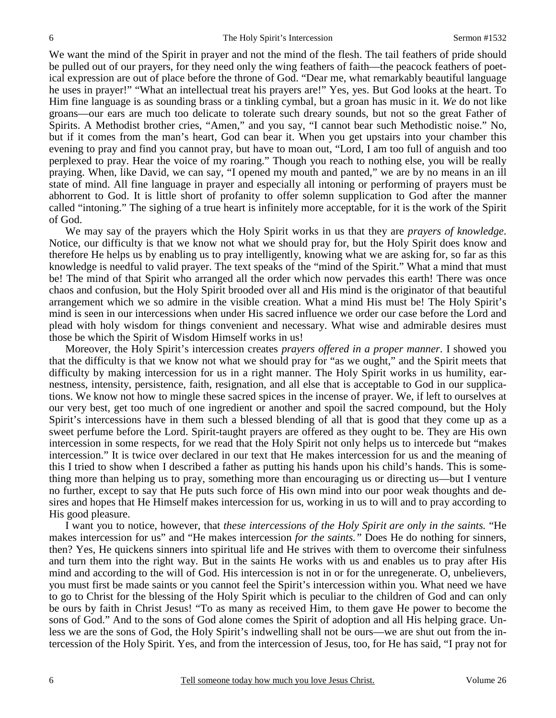We want the mind of the Spirit in prayer and not the mind of the flesh. The tail feathers of pride should be pulled out of our prayers, for they need only the wing feathers of faith—the peacock feathers of poetical expression are out of place before the throne of God. "Dear me, what remarkably beautiful language he uses in prayer!" "What an intellectual treat his prayers are!" Yes, yes. But God looks at the heart. To Him fine language is as sounding brass or a tinkling cymbal, but a groan has music in it. *We* do not like groans—our ears are much too delicate to tolerate such dreary sounds, but not so the great Father of Spirits. A Methodist brother cries, "Amen," and you say, "I cannot bear such Methodistic noise." No, but if it comes from the man's heart, God can bear it. When you get upstairs into your chamber this evening to pray and find you cannot pray, but have to moan out, "Lord, I am too full of anguish and too perplexed to pray. Hear the voice of my roaring." Though you reach to nothing else, you will be really praying. When, like David, we can say, "I opened my mouth and panted," we are by no means in an ill state of mind. All fine language in prayer and especially all intoning or performing of prayers must be abhorrent to God. It is little short of profanity to offer solemn supplication to God after the manner called "intoning." The sighing of a true heart is infinitely more acceptable, for it is the work of the Spirit of God.

 We may say of the prayers which the Holy Spirit works in us that they are *prayers of knowledge*. Notice, our difficulty is that we know not what we should pray for, but the Holy Spirit does know and therefore He helps us by enabling us to pray intelligently, knowing what we are asking for, so far as this knowledge is needful to valid prayer. The text speaks of the "mind of the Spirit." What a mind that must be! The mind of that Spirit who arranged all the order which now pervades this earth! There was once chaos and confusion, but the Holy Spirit brooded over all and His mind is the originator of that beautiful arrangement which we so admire in the visible creation. What a mind His must be! The Holy Spirit's mind is seen in our intercessions when under His sacred influence we order our case before the Lord and plead with holy wisdom for things convenient and necessary. What wise and admirable desires must those be which the Spirit of Wisdom Himself works in us!

 Moreover, the Holy Spirit's intercession creates *prayers offered in a proper manner*. I showed you that the difficulty is that we know not what we should pray for "as we ought," and the Spirit meets that difficulty by making intercession for us in a right manner. The Holy Spirit works in us humility, earnestness, intensity, persistence, faith, resignation, and all else that is acceptable to God in our supplications. We know not how to mingle these sacred spices in the incense of prayer. We, if left to ourselves at our very best, get too much of one ingredient or another and spoil the sacred compound, but the Holy Spirit's intercessions have in them such a blessed blending of all that is good that they come up as a sweet perfume before the Lord. Spirit-taught prayers are offered as they ought to be. They are His own intercession in some respects, for we read that the Holy Spirit not only helps us to intercede but "makes intercession." It is twice over declared in our text that He makes intercession for us and the meaning of this I tried to show when I described a father as putting his hands upon his child's hands. This is something more than helping us to pray, something more than encouraging us or directing us—but I venture no further, except to say that He puts such force of His own mind into our poor weak thoughts and desires and hopes that He Himself makes intercession for us, working in us to will and to pray according to His good pleasure.

 I want you to notice, however, that *these intercessions of the Holy Spirit are only in the saints.* "He makes intercession for us" and "He makes intercession *for the saints."* Does He do nothing for sinners, then? Yes, He quickens sinners into spiritual life and He strives with them to overcome their sinfulness and turn them into the right way. But in the saints He works with us and enables us to pray after His mind and according to the will of God. His intercession is not in or for the unregenerate. O, unbelievers, you must first be made saints or you cannot feel the Spirit's intercession within you. What need we have to go to Christ for the blessing of the Holy Spirit which is peculiar to the children of God and can only be ours by faith in Christ Jesus! "To as many as received Him, to them gave He power to become the sons of God." And to the sons of God alone comes the Spirit of adoption and all His helping grace. Unless we are the sons of God, the Holy Spirit's indwelling shall not be ours—we are shut out from the intercession of the Holy Spirit. Yes, and from the intercession of Jesus, too, for He has said, "I pray not for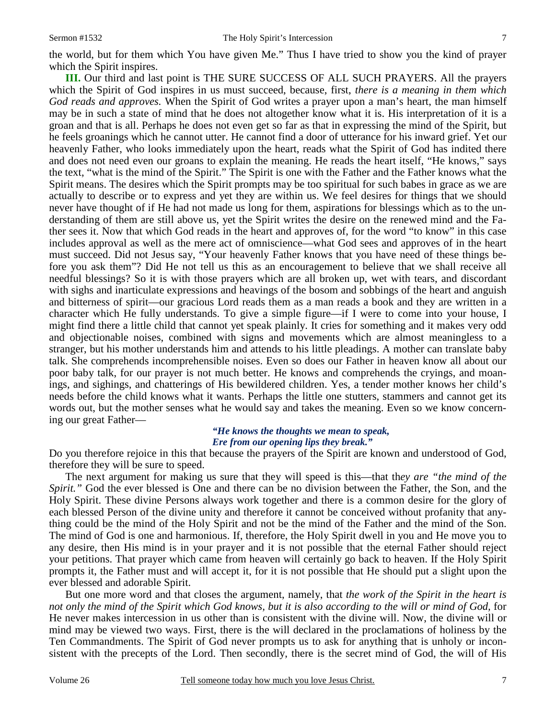the world, but for them which You have given Me." Thus I have tried to show you the kind of prayer which the Spirit inspires.

**III.** Our third and last point is THE SURE SUCCESS OF ALL SUCH PRAYERS. All the prayers which the Spirit of God inspires in us must succeed, because, first, *there is a meaning in them which God reads and approves.* When the Spirit of God writes a prayer upon a man's heart, the man himself may be in such a state of mind that he does not altogether know what it is. His interpretation of it is a groan and that is all. Perhaps he does not even get so far as that in expressing the mind of the Spirit, but he feels groanings which he cannot utter. He cannot find a door of utterance for his inward grief. Yet our heavenly Father, who looks immediately upon the heart, reads what the Spirit of God has indited there and does not need even our groans to explain the meaning. He reads the heart itself, "He knows," says the text, "what is the mind of the Spirit." The Spirit is one with the Father and the Father knows what the Spirit means. The desires which the Spirit prompts may be too spiritual for such babes in grace as we are actually to describe or to express and yet they are within us. We feel desires for things that we should never have thought of if He had not made us long for them, aspirations for blessings which as to the understanding of them are still above us, yet the Spirit writes the desire on the renewed mind and the Father sees it. Now that which God reads in the heart and approves of, for the word "to know" in this case includes approval as well as the mere act of omniscience—what God sees and approves of in the heart must succeed. Did not Jesus say, "Your heavenly Father knows that you have need of these things before you ask them"? Did He not tell us this as an encouragement to believe that we shall receive all needful blessings? So it is with those prayers which are all broken up, wet with tears, and discordant with sighs and inarticulate expressions and heavings of the bosom and sobbings of the heart and anguish and bitterness of spirit—our gracious Lord reads them as a man reads a book and they are written in a character which He fully understands. To give a simple figure—if I were to come into your house, I might find there a little child that cannot yet speak plainly. It cries for something and it makes very odd and objectionable noises, combined with signs and movements which are almost meaningless to a stranger, but his mother understands him and attends to his little pleadings. A mother can translate baby talk. She comprehends incomprehensible noises. Even so does our Father in heaven know all about our poor baby talk, for our prayer is not much better. He knows and comprehends the cryings, and moanings, and sighings, and chatterings of His bewildered children. Yes, a tender mother knows her child's needs before the child knows what it wants. Perhaps the little one stutters, stammers and cannot get its words out, but the mother senses what he would say and takes the meaning. Even so we know concerning our great Father—

## *"He knows the thoughts we mean to speak, Ere from our opening lips they break."*

Do you therefore rejoice in this that because the prayers of the Spirit are known and understood of God, therefore they will be sure to speed.

 The next argument for making us sure that they will speed is this—that th*ey are "the mind of the Spirit.*" God the ever blessed is One and there can be no division between the Father, the Son, and the Holy Spirit. These divine Persons always work together and there is a common desire for the glory of each blessed Person of the divine unity and therefore it cannot be conceived without profanity that anything could be the mind of the Holy Spirit and not be the mind of the Father and the mind of the Son. The mind of God is one and harmonious. If, therefore, the Holy Spirit dwell in you and He move you to any desire, then His mind is in your prayer and it is not possible that the eternal Father should reject your petitions. That prayer which came from heaven will certainly go back to heaven. If the Holy Spirit prompts it, the Father must and will accept it, for it is not possible that He should put a slight upon the ever blessed and adorable Spirit.

 But one more word and that closes the argument, namely, that *the work of the Spirit in the heart is not only the mind of the Spirit which God knows, but it is also according to the will or mind of God,* for He never makes intercession in us other than is consistent with the divine will. Now, the divine will or mind may be viewed two ways. First, there is the will declared in the proclamations of holiness by the Ten Commandments. The Spirit of God never prompts us to ask for anything that is unholy or inconsistent with the precepts of the Lord. Then secondly, there is the secret mind of God, the will of His